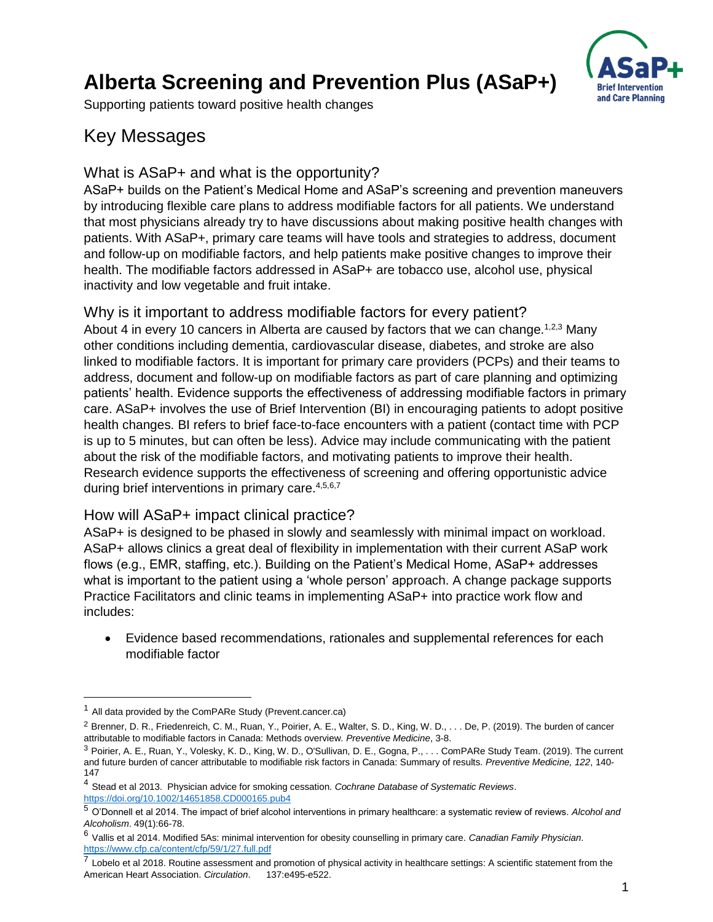# **Alberta Screening and Prevention Plus (ASaP+)**



Supporting patients toward positive health changes

## Key Messages

#### What is ASaP+ and what is the opportunity?

ASaP+ builds on the Patient's Medical Home and ASaP's screening and prevention maneuvers by introducing flexible care plans to address modifiable factors for all patients. We understand that most physicians already try to have discussions about making positive health changes with patients. With ASaP+, primary care teams will have tools and strategies to address, document and follow-up on modifiable factors, and help patients make positive changes to improve their health. The modifiable factors addressed in ASaP+ are tobacco use, alcohol use, physical inactivity and low vegetable and fruit intake.

#### Why is it important to address modifiable factors for every patient?

About 4 in every 10 cancers in Alberta are caused by factors that we can change.<sup>1,2,3</sup> Many other conditions including dementia, cardiovascular disease, diabetes, and stroke are also linked to modifiable factors. It is important for primary care providers (PCPs) and their teams to address, document and follow-up on modifiable factors as part of care planning and optimizing patients' health. Evidence supports the effectiveness of addressing modifiable factors in primary care. ASaP+ involves the use of Brief Intervention (BI) in encouraging patients to adopt positive health changes. BI refers to brief face-to-face encounters with a patient (contact time with PCP is up to 5 minutes, but can often be less). Advice may include communicating with the patient about the risk of the modifiable factors, and motivating patients to improve their health. Research evidence supports the effectiveness of screening and offering opportunistic advice during brief interventions in primary care.<sup>4,5,6,7</sup>

#### How will ASaP+ impact clinical practice?

ASaP+ is designed to be phased in slowly and seamlessly with minimal impact on workload. ASaP+ allows clinics a great deal of flexibility in implementation with their current ASaP work flows (e.g., EMR, staffing, etc.). Building on the Patient's Medical Home, ASaP+ addresses what is important to the patient using a 'whole person' approach. A change package supports Practice Facilitators and clinic teams in implementing ASaP+ into practice work flow and includes:

 Evidence based recommendations, rationales and supplemental references for each modifiable factor

 $\overline{a}$ 

 $1$  All data provided by the ComPARe Study (Prevent.cancer.ca)

<sup>&</sup>lt;sup>2</sup> Brenner. D. R., Friedenreich, C. M., Ruan, Y., Poirier, A. E., Walter, S. D., King, W. D., . . . De, P. (2019). The burden of cancer attributable to modifiable factors in Canada: Methods overview. *Preventive Medicine*, 3-8.

<sup>3</sup> Poirier, A. E., Ruan, Y., Volesky, K. D., King, W. D., O'Sullivan, D. E., Gogna, P., . . . ComPARe Study Team. (2019). The current and future burden of cancer attributable to modifiable risk factors in Canada: Summary of results. *Preventive Medicine, 122*, 140- 147

<sup>4</sup> Stead et al 2013. Physician advice for smoking cessation. *Cochrane Database of Systematic Reviews*. <https://doi.org/10.1002/14651858.CD000165.pub4>

<sup>5</sup> O'Donnell et al 2014. The impact of brief alcohol interventions in primary healthcare: a systematic review of reviews. *Alcohol and Alcoholism*. 49(1):66-78.

<sup>6</sup> Vallis et al 2014. Modified 5As: minimal intervention for obesity counselling in primary care. *Canadian Family Physician*. <https://www.cfp.ca/content/cfp/59/1/27.full.pdf>

<sup>&</sup>lt;sup>7</sup> Lobelo et al 2018. Routine assessment and promotion of physical activity in healthcare settings: A scientific statement from the American Heart Association. *Circulation*. 137:e495-e522.